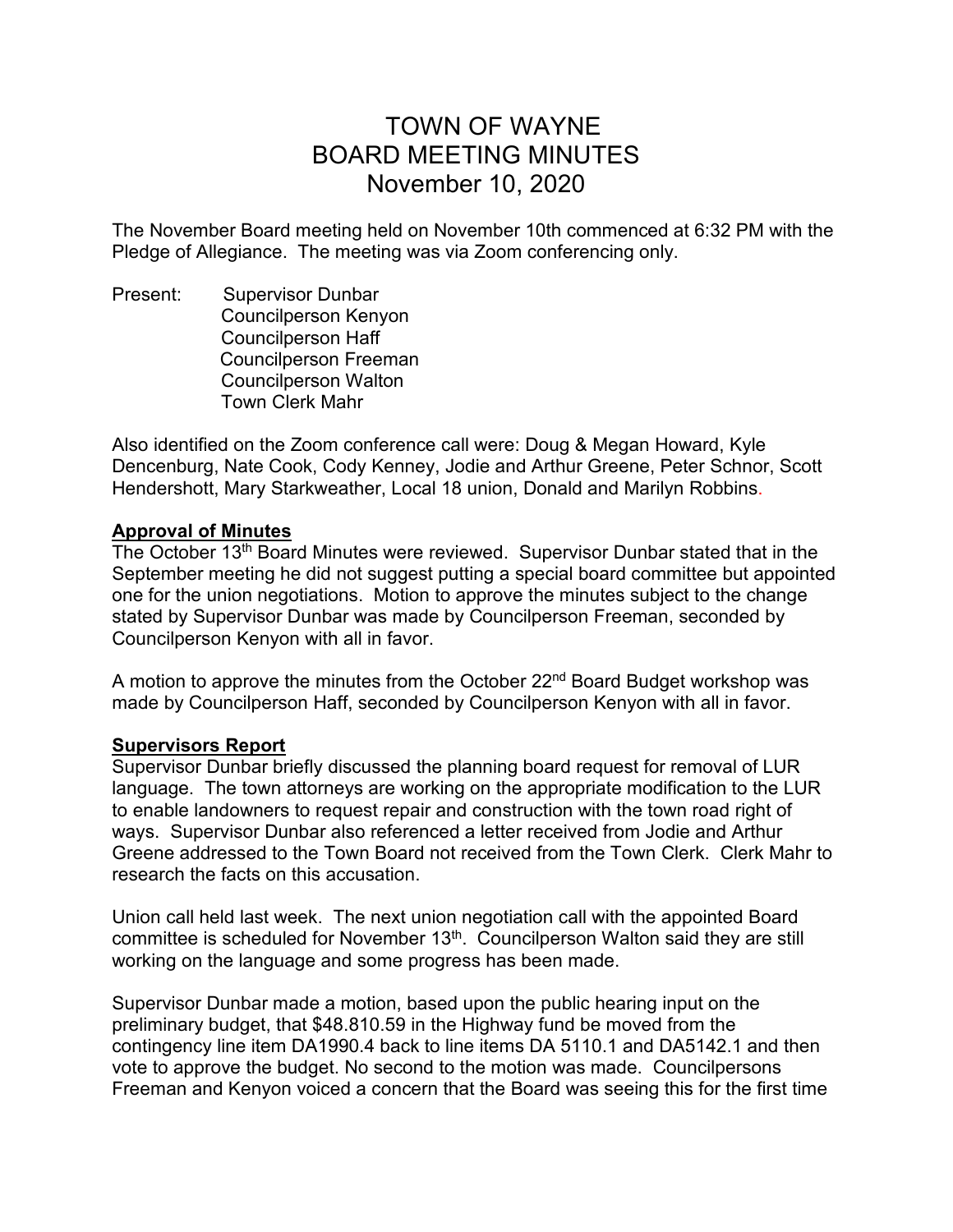# TOWN OF WAYNE BOARD MEETING MINUTES November 10, 2020

The November Board meeting held on November 10th commenced at 6:32 PM with the Pledge of Allegiance. The meeting was via Zoom conferencing only.

Present: Supervisor Dunbar Councilperson Kenyon Councilperson Haff Councilperson Freeman Councilperson Walton Town Clerk Mahr

Also identified on the Zoom conference call were: Doug & Megan Howard, Kyle Dencenburg, Nate Cook, Cody Kenney, Jodie and Arthur Greene, Peter Schnor, Scott Hendershott, Mary Starkweather, Local 18 union, Donald and Marilyn Robbins.

### **Approval of Minutes**

The October 13th Board Minutes were reviewed. Supervisor Dunbar stated that in the September meeting he did not suggest putting a special board committee but appointed one for the union negotiations. Motion to approve the minutes subject to the change stated by Supervisor Dunbar was made by Councilperson Freeman, seconded by Councilperson Kenyon with all in favor.

A motion to approve the minutes from the October  $22<sup>nd</sup>$  Board Budget workshop was made by Councilperson Haff, seconded by Councilperson Kenyon with all in favor.

## **Supervisors Report**

Supervisor Dunbar briefly discussed the planning board request for removal of LUR language. The town attorneys are working on the appropriate modification to the LUR to enable landowners to request repair and construction with the town road right of ways. Supervisor Dunbar also referenced a letter received from Jodie and Arthur Greene addressed to the Town Board not received from the Town Clerk. Clerk Mahr to research the facts on this accusation.

Union call held last week. The next union negotiation call with the appointed Board committee is scheduled for November 13<sup>th</sup>. Councilperson Walton said they are still working on the language and some progress has been made.

Supervisor Dunbar made a motion, based upon the public hearing input on the preliminary budget, that \$48.810.59 in the Highway fund be moved from the contingency line item DA1990.4 back to line items DA 5110.1 and DA5142.1 and then vote to approve the budget. No second to the motion was made. Councilpersons Freeman and Kenyon voiced a concern that the Board was seeing this for the first time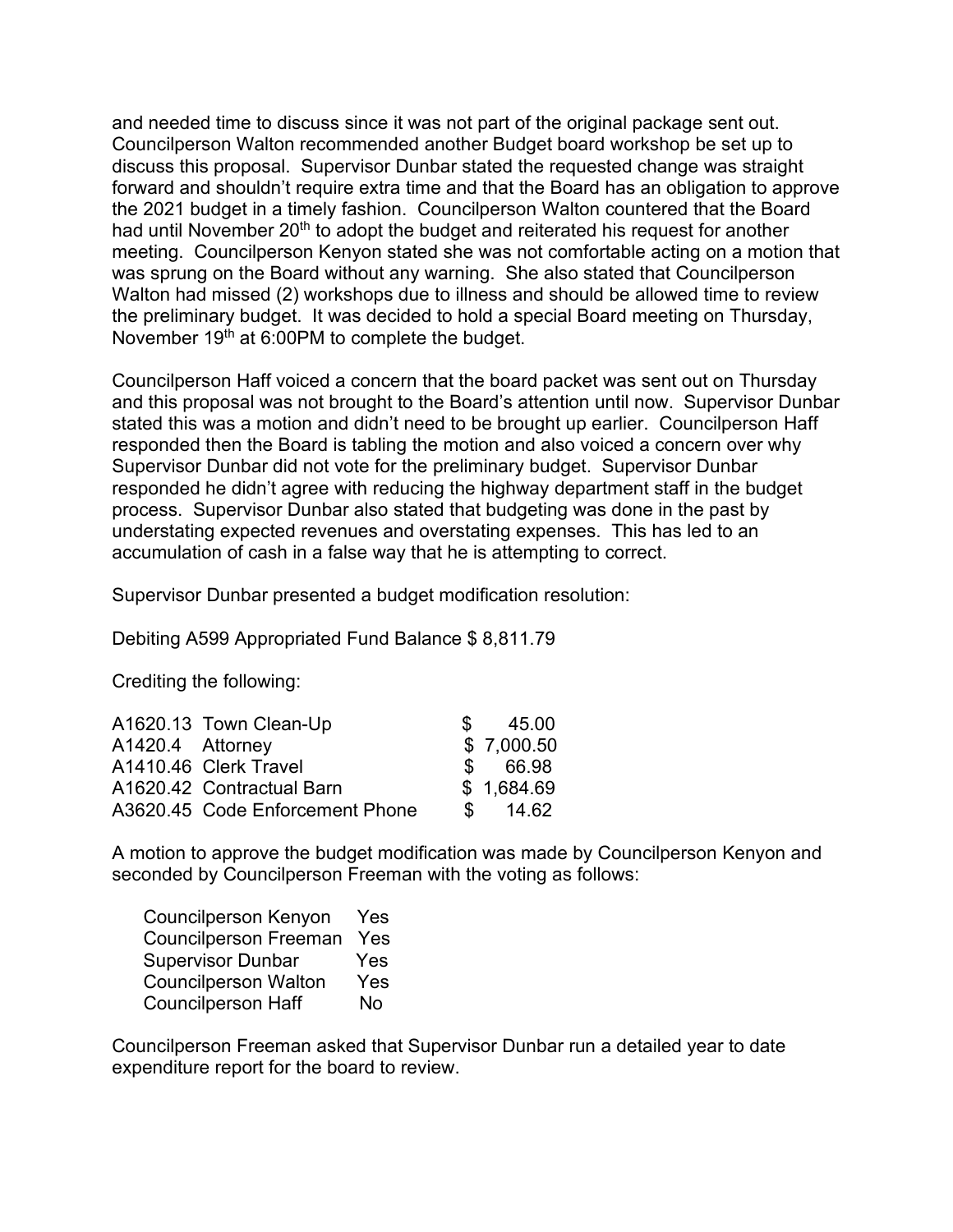and needed time to discuss since it was not part of the original package sent out. Councilperson Walton recommended another Budget board workshop be set up to discuss this proposal. Supervisor Dunbar stated the requested change was straight forward and shouldn't require extra time and that the Board has an obligation to approve the 2021 budget in a timely fashion. Councilperson Walton countered that the Board had until November 20<sup>th</sup> to adopt the budget and reiterated his request for another meeting. Councilperson Kenyon stated she was not comfortable acting on a motion that was sprung on the Board without any warning. She also stated that Councilperson Walton had missed (2) workshops due to illness and should be allowed time to review the preliminary budget. It was decided to hold a special Board meeting on Thursday, November 19th at 6:00PM to complete the budget.

Councilperson Haff voiced a concern that the board packet was sent out on Thursday and this proposal was not brought to the Board's attention until now. Supervisor Dunbar stated this was a motion and didn't need to be brought up earlier. Councilperson Haff responded then the Board is tabling the motion and also voiced a concern over why Supervisor Dunbar did not vote for the preliminary budget. Supervisor Dunbar responded he didn't agree with reducing the highway department staff in the budget process. Supervisor Dunbar also stated that budgeting was done in the past by understating expected revenues and overstating expenses. This has led to an accumulation of cash in a false way that he is attempting to correct.

Supervisor Dunbar presented a budget modification resolution:

Debiting A599 Appropriated Fund Balance \$ 8,811.79

Crediting the following:

|                  | A1620.13 Town Clean-Up          | $\mathcal{S}$  | 45.00      |
|------------------|---------------------------------|----------------|------------|
| A1420.4 Attorney |                                 |                | \$7,000.50 |
|                  | A1410.46 Clerk Travel           |                | \$ 66.98   |
|                  | A1620.42 Contractual Barn       |                | \$1,684.69 |
|                  | A3620.45 Code Enforcement Phone | $\mathbb{S}^-$ | 14.62      |

A motion to approve the budget modification was made by Councilperson Kenyon and seconded by Councilperson Freeman with the voting as follows:

| <b>Councilperson Kenyon</b>  | Yes       |
|------------------------------|-----------|
| <b>Councilperson Freeman</b> | Yes       |
| <b>Supervisor Dunbar</b>     | Yes       |
| <b>Councilperson Walton</b>  | Yes       |
| <b>Councilperson Haff</b>    | <b>No</b> |

Councilperson Freeman asked that Supervisor Dunbar run a detailed year to date expenditure report for the board to review.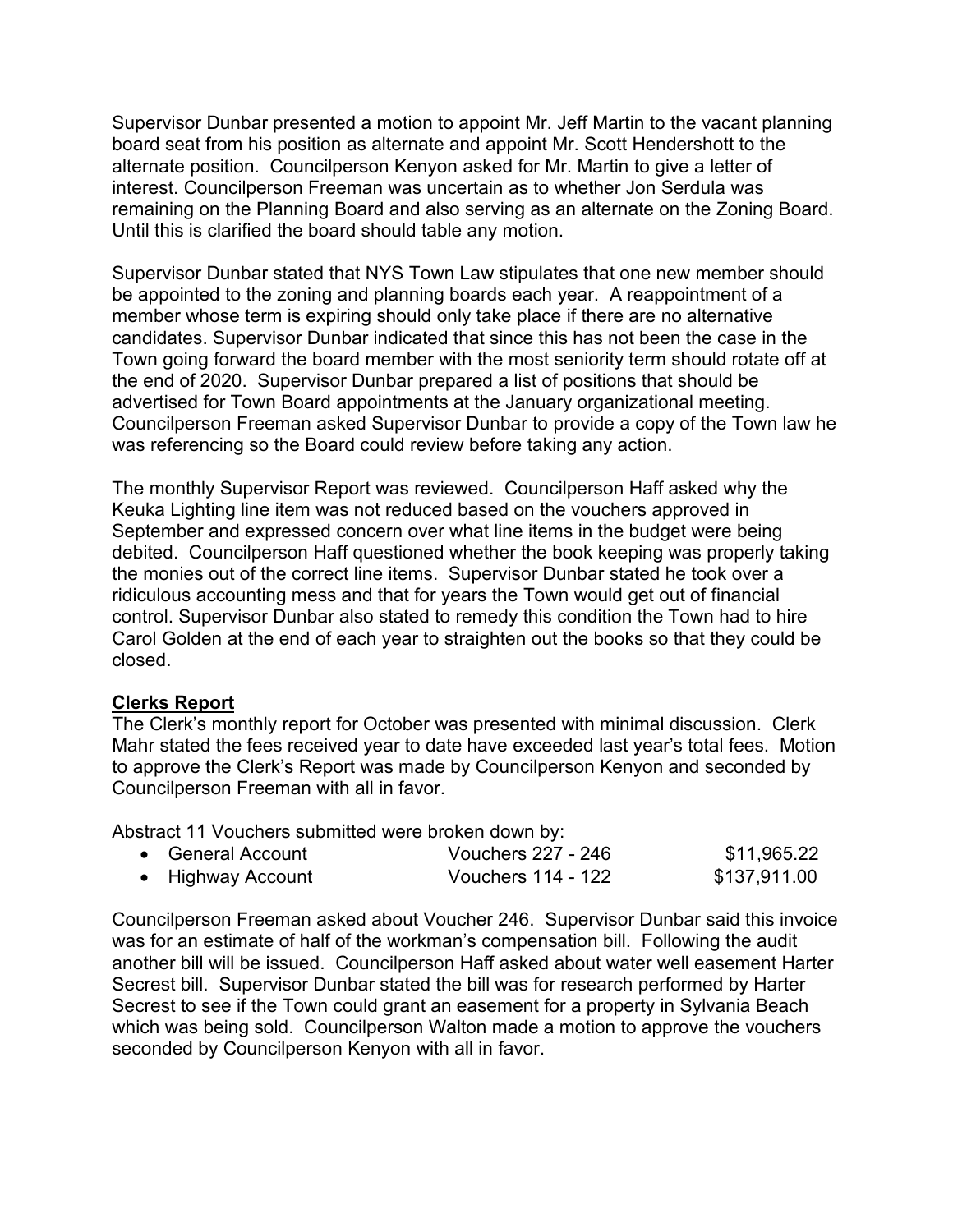Supervisor Dunbar presented a motion to appoint Mr. Jeff Martin to the vacant planning board seat from his position as alternate and appoint Mr. Scott Hendershott to the alternate position. Councilperson Kenyon asked for Mr. Martin to give a letter of interest. Councilperson Freeman was uncertain as to whether Jon Serdula was remaining on the Planning Board and also serving as an alternate on the Zoning Board. Until this is clarified the board should table any motion.

Supervisor Dunbar stated that NYS Town Law stipulates that one new member should be appointed to the zoning and planning boards each year. A reappointment of a member whose term is expiring should only take place if there are no alternative candidates. Supervisor Dunbar indicated that since this has not been the case in the Town going forward the board member with the most seniority term should rotate off at the end of 2020. Supervisor Dunbar prepared a list of positions that should be advertised for Town Board appointments at the January organizational meeting. Councilperson Freeman asked Supervisor Dunbar to provide a copy of the Town law he was referencing so the Board could review before taking any action.

The monthly Supervisor Report was reviewed. Councilperson Haff asked why the Keuka Lighting line item was not reduced based on the vouchers approved in September and expressed concern over what line items in the budget were being debited. Councilperson Haff questioned whether the book keeping was properly taking the monies out of the correct line items. Supervisor Dunbar stated he took over a ridiculous accounting mess and that for years the Town would get out of financial control. Supervisor Dunbar also stated to remedy this condition the Town had to hire Carol Golden at the end of each year to straighten out the books so that they could be closed.

# **Clerks Report**

The Clerk's monthly report for October was presented with minimal discussion. Clerk Mahr stated the fees received year to date have exceeded last year's total fees. Motion to approve the Clerk's Report was made by Councilperson Kenyon and seconded by Councilperson Freeman with all in favor.

Abstract 11 Vouchers submitted were broken down by:

| • General Account | Vouchers 227 - 246 | \$11,965.22  |
|-------------------|--------------------|--------------|
| • Highway Account | Vouchers 114 - 122 | \$137,911.00 |

Councilperson Freeman asked about Voucher 246. Supervisor Dunbar said this invoice was for an estimate of half of the workman's compensation bill. Following the audit another bill will be issued. Councilperson Haff asked about water well easement Harter Secrest bill. Supervisor Dunbar stated the bill was for research performed by Harter Secrest to see if the Town could grant an easement for a property in Sylvania Beach which was being sold. Councilperson Walton made a motion to approve the vouchers seconded by Councilperson Kenyon with all in favor.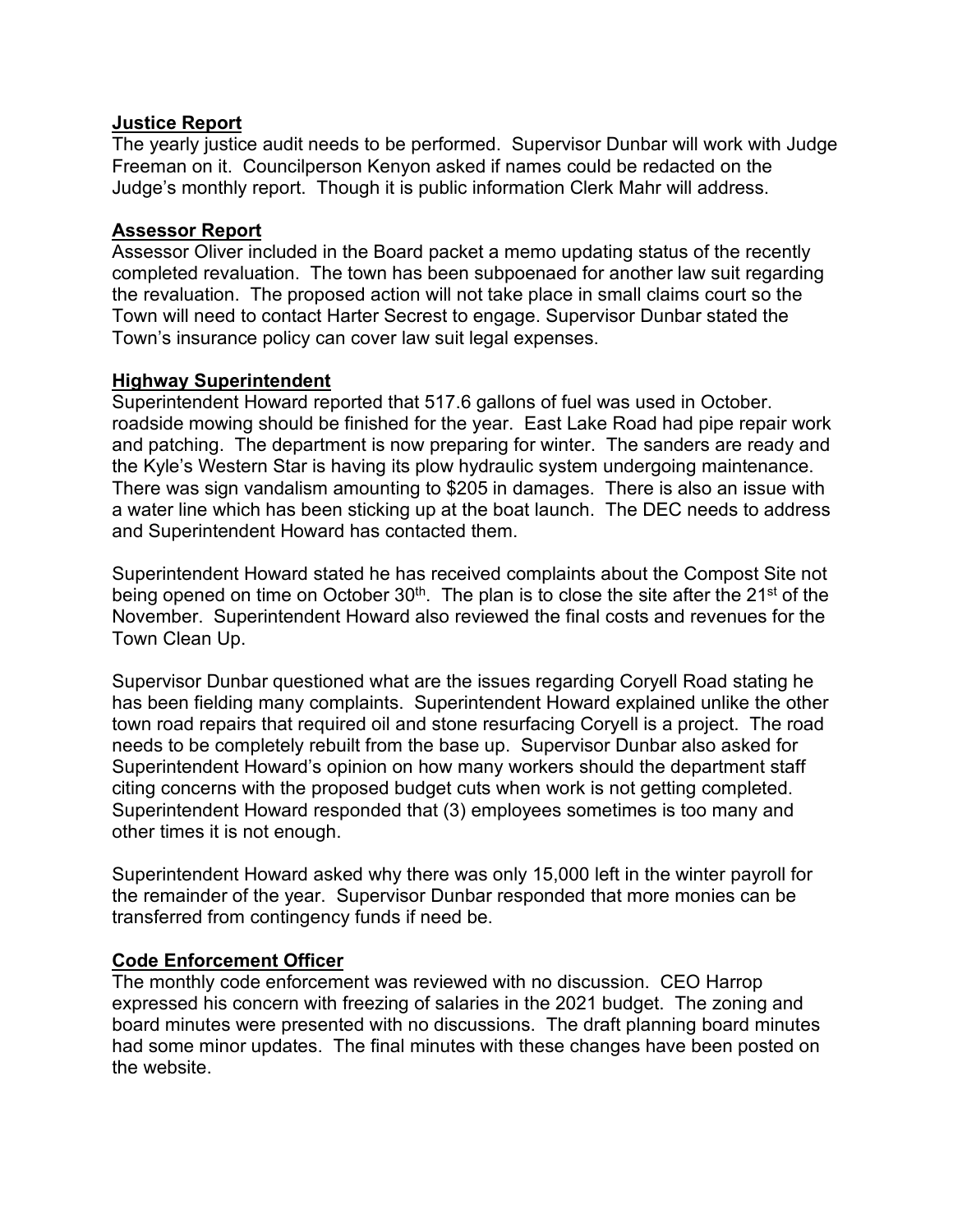# **Justice Report**

The yearly justice audit needs to be performed. Supervisor Dunbar will work with Judge Freeman on it. Councilperson Kenyon asked if names could be redacted on the Judge's monthly report. Though it is public information Clerk Mahr will address.

# **Assessor Report**

Assessor Oliver included in the Board packet a memo updating status of the recently completed revaluation. The town has been subpoenaed for another law suit regarding the revaluation. The proposed action will not take place in small claims court so the Town will need to contact Harter Secrest to engage. Supervisor Dunbar stated the Town's insurance policy can cover law suit legal expenses.

### **Highway Superintendent**

Superintendent Howard reported that 517.6 gallons of fuel was used in October. roadside mowing should be finished for the year. East Lake Road had pipe repair work and patching. The department is now preparing for winter. The sanders are ready and the Kyle's Western Star is having its plow hydraulic system undergoing maintenance. There was sign vandalism amounting to \$205 in damages. There is also an issue with a water line which has been sticking up at the boat launch. The DEC needs to address and Superintendent Howard has contacted them.

Superintendent Howard stated he has received complaints about the Compost Site not being opened on time on October  $30<sup>th</sup>$ . The plan is to close the site after the  $21<sup>st</sup>$  of the November. Superintendent Howard also reviewed the final costs and revenues for the Town Clean Up.

Supervisor Dunbar questioned what are the issues regarding Coryell Road stating he has been fielding many complaints. Superintendent Howard explained unlike the other town road repairs that required oil and stone resurfacing Coryell is a project. The road needs to be completely rebuilt from the base up. Supervisor Dunbar also asked for Superintendent Howard's opinion on how many workers should the department staff citing concerns with the proposed budget cuts when work is not getting completed. Superintendent Howard responded that (3) employees sometimes is too many and other times it is not enough.

Superintendent Howard asked why there was only 15,000 left in the winter payroll for the remainder of the year. Supervisor Dunbar responded that more monies can be transferred from contingency funds if need be.

# **Code Enforcement Officer**

The monthly code enforcement was reviewed with no discussion. CEO Harrop expressed his concern with freezing of salaries in the 2021 budget. The zoning and board minutes were presented with no discussions. The draft planning board minutes had some minor updates. The final minutes with these changes have been posted on the website.